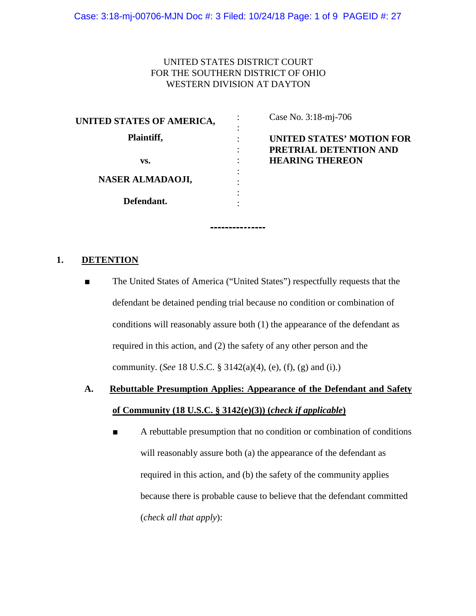Case: 3:18-mj-00706-MJN Doc #: 3 Filed: 10/24/18 Page: 1 of 9 PAGEID #: 27

#### UNITED STATES DISTRICT COURT FOR THE SOUTHERN DISTRICT OF OHIO WESTERN DIVISION AT DAYTON

**UNITED STATES OF AMERICA, Plaintiff, vs. NASER ALMADAOJI, Defendant.** : : : : : : : : : Case No. 3:18-mj-706 **HEARING THEREON**

**UNITED STATES' MOTION FOR PRETRIAL DETENTION AND** 

#### **1. DETENTION**

The United States of America ("United States") respectfully requests that the defendant be detained pending trial because no condition or combination of conditions will reasonably assure both (1) the appearance of the defendant as required in this action, and (2) the safety of any other person and the community. (*See* 18 U.S.C. § 3142(a)(4), (e), (f), (g) and (i).)

---------------

## **A. Rebuttable Presumption Applies: Appearance of the Defendant and Safety of Community (18 U.S.C. § 3142(e)(3)) (***check if applicable***)**

■ A rebuttable presumption that no condition or combination of conditions will reasonably assure both (a) the appearance of the defendant as required in this action, and (b) the safety of the community applies because there is probable cause to believe that the defendant committed (*check all that apply*):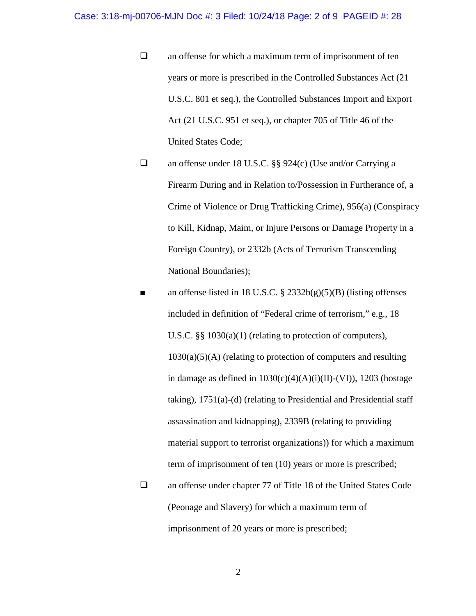- $\Box$  an offense for which a maximum term of imprisonment of ten years or more is prescribed in the Controlled Substances Act (21 U.S.C. 801 et seq.), the Controlled Substances Import and Export Act (21 U.S.C. 951 et seq.), or chapter 705 of Title 46 of the United States Code;
- □ an offense under 18 U.S.C. §§ 924(c) (Use and/or Carrying a Firearm During and in Relation to/Possession in Furtherance of, a Crime of Violence or Drug Trafficking Crime), 956(a) (Conspiracy to Kill, Kidnap, Maim, or Injure Persons or Damage Property in a Foreign Country), or 2332b (Acts of Terrorism Transcending National Boundaries);
- **a** an offense listed in 18 U.S.C.  $\S$  2332b(g)(5)(B) (listing offenses included in definition of "Federal crime of terrorism," e.g., 18 U.S.C. §§ 1030(a)(1) (relating to protection of computers),  $1030(a)(5)(A)$  (relating to protection of computers and resulting in damage as defined in  $1030(c)(4)(A)(i)(II)-(VI)$ ), 1203 (hostage taking), 1751(a)-(d) (relating to Presidential and Presidential staff assassination and kidnapping), 2339B (relating to providing material support to terrorist organizations)) for which a maximum term of imprisonment of ten (10) years or more is prescribed;
- an offense under chapter 77 of Title 18 of the United States Code (Peonage and Slavery) for which a maximum term of imprisonment of 20 years or more is prescribed;

2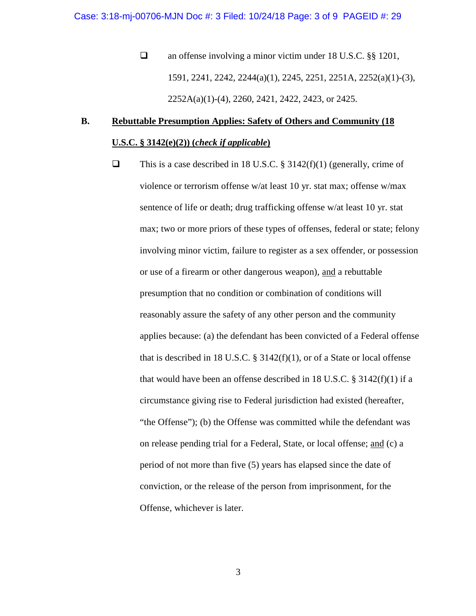#### Case: 3:18-mj-00706-MJN Doc #: 3 Filed: 10/24/18 Page: 3 of 9 PAGEID #: 29

□ an offense involving a minor victim under 18 U.S.C. §§ 1201, 1591, 2241, 2242, 2244(a)(1), 2245, 2251, 2251A, 2252(a)(1)-(3), 2252A(a)(1)-(4), 2260, 2421, 2422, 2423, or 2425.

## **B. Rebuttable Presumption Applies: Safety of Others and Community (18 U.S.C. § 3142(e)(2)) (***check if applicable***)**

 $\Box$  This is a case described in 18 U.S.C. § 3142(f)(1) (generally, crime of violence or terrorism offense w/at least 10 yr. stat max; offense w/max sentence of life or death; drug trafficking offense w/at least 10 yr. stat max; two or more priors of these types of offenses, federal or state; felony involving minor victim, failure to register as a sex offender, or possession or use of a firearm or other dangerous weapon), and a rebuttable presumption that no condition or combination of conditions will reasonably assure the safety of any other person and the community applies because: (a) the defendant has been convicted of a Federal offense that is described in 18 U.S.C.  $\S$  3142(f)(1), or of a State or local offense that would have been an offense described in 18 U.S.C. § 3142(f)(1) if a circumstance giving rise to Federal jurisdiction had existed (hereafter, "the Offense"); (b) the Offense was committed while the defendant was on release pending trial for a Federal, State, or local offense; and (c) a period of not more than five (5) years has elapsed since the date of conviction, or the release of the person from imprisonment, for the Offense, whichever is later.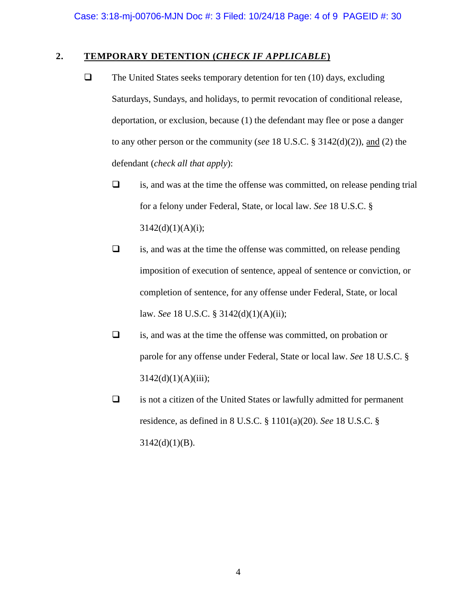#### **2. TEMPORARY DETENTION (***CHECK IF APPLICABLE***)**

- $\Box$  The United States seeks temporary detention for ten (10) days, excluding Saturdays, Sundays, and holidays, to permit revocation of conditional release, deportation, or exclusion, because (1) the defendant may flee or pose a danger to any other person or the community (*see* 18 U.S.C. § 3142(d)(2)), and (2) the defendant (*check all that apply*):
	- $\Box$  is, and was at the time the offense was committed, on release pending trial for a felony under Federal, State, or local law. *See* 18 U.S.C. §  $3142(d)(1)(A)(i);$
	- $\Box$  is, and was at the time the offense was committed, on release pending imposition of execution of sentence, appeal of sentence or conviction, or completion of sentence, for any offense under Federal, State, or local law. *See* 18 U.S.C. § 3142(d)(1)(A)(ii);
	- $\Box$  is, and was at the time the offense was committed, on probation or parole for any offense under Federal, State or local law. *See* 18 U.S.C. §  $3142(d)(1)(A)(iii);$
	- $\Box$  is not a citizen of the United States or lawfully admitted for permanent residence, as defined in 8 U.S.C. § 1101(a)(20). *See* 18 U.S.C. §  $3142(d)(1)(B)$ .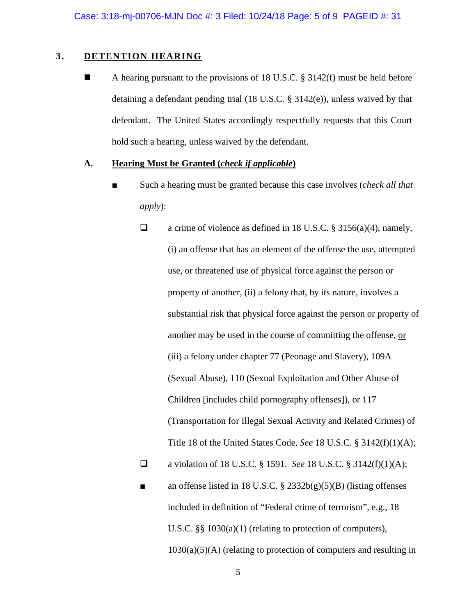#### **3. DETENTION HEARING**

A hearing pursuant to the provisions of 18 U.S.C.  $\S$  3142(f) must be held before detaining a defendant pending trial (18 U.S.C. § 3142(e)), unless waived by that defendant. The United States accordingly respectfully requests that this Court hold such a hearing, unless waived by the defendant.

#### **A. Hearing Must be Granted (***check if applicable***)**

- Such a hearing must be granted because this case involves *(check all that*) *apply*):
	- $\Box$  a crime of violence as defined in 18 U.S.C. § 3156(a)(4), namely, (i) an offense that has an element of the offense the use, attempted use, or threatened use of physical force against the person or property of another, (ii) a felony that, by its nature, involves a substantial risk that physical force against the person or property of another may be used in the course of committing the offense, or (iii) a felony under chapter 77 (Peonage and Slavery), 109A (Sexual Abuse), 110 (Sexual Exploitation and Other Abuse of Children [includes child pornography offenses]), or 117 (Transportation for Illegal Sexual Activity and Related Crimes) of Title 18 of the United States Code. *See* 18 U.S.C. § 3142(f)(1)(A);
	- a violation of 18 U.S.C. § 1591. *See* 18 U.S.C. § 3142(f)(1)(A);
	- **a** an offense listed in 18 U.S.C.  $\S$  2332b(g)(5)(B) (listing offenses included in definition of "Federal crime of terrorism", e.g., 18 U.S.C. §§ 1030(a)(1) (relating to protection of computers),  $1030(a)(5)(A)$  (relating to protection of computers and resulting in

5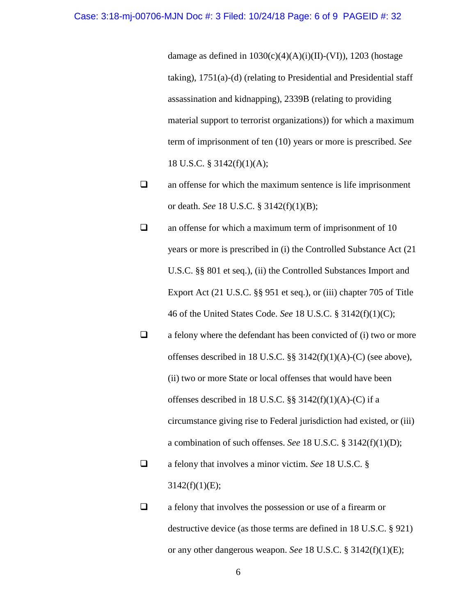#### Case: 3:18-mj-00706-MJN Doc #: 3 Filed: 10/24/18 Page: 6 of 9 PAGEID #: 32

damage as defined in  $1030(c)(4)(A)(i)(II)-(VI)$ , 1203 (hostage taking), 1751(a)-(d) (relating to Presidential and Presidential staff assassination and kidnapping), 2339B (relating to providing material support to terrorist organizations)) for which a maximum term of imprisonment of ten (10) years or more is prescribed. *See*  18 U.S.C. § 3142(f)(1)(A);

- $\Box$  an offense for which the maximum sentence is life imprisonment or death. *See* 18 U.S.C. § 3142(f)(1)(B);
- $\Box$  an offense for which a maximum term of imprisonment of 10 years or more is prescribed in (i) the Controlled Substance Act (21 U.S.C. §§ 801 et seq.), (ii) the Controlled Substances Import and Export Act (21 U.S.C. §§ 951 et seq.), or (iii) chapter 705 of Title 46 of the United States Code. *See* 18 U.S.C. § 3142(f)(1)(C);
- $\Box$  a felony where the defendant has been convicted of (i) two or more offenses described in 18 U.S.C. §§ 3142(f)(1)(A)-(C) (see above), (ii) two or more State or local offenses that would have been offenses described in 18 U.S.C.  $\S$ § 3142(f)(1)(A)-(C) if a circumstance giving rise to Federal jurisdiction had existed, or (iii) a combination of such offenses. *See* 18 U.S.C. § 3142(f)(1)(D);
- a felony that involves a minor victim. *See* 18 U.S.C. §  $3142(f)(1)(E);$
- $\Box$  a felony that involves the possession or use of a firearm or destructive device (as those terms are defined in 18 U.S.C. § 921) or any other dangerous weapon. *See* 18 U.S.C. § 3142(f)(1)(E);

6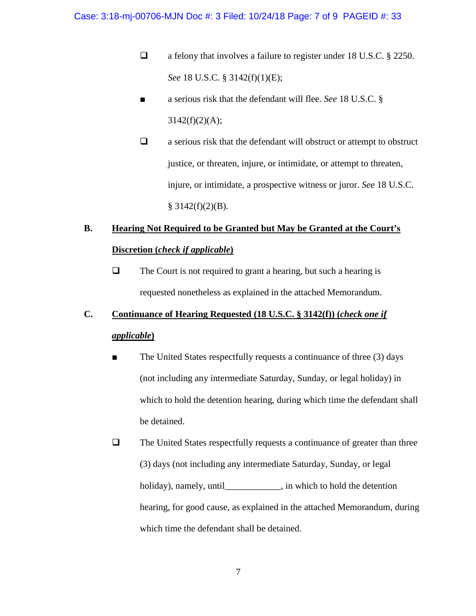- □ a felony that involves a failure to register under 18 U.S.C. § 2250. *See* 18 U.S.C. § 3142(f)(1)(E);
- a serious risk that the defendant will flee. *See* 18 U.S.C. §  $3142(f)(2)(A);$
- $\Box$  a serious risk that the defendant will obstruct or attempt to obstruct justice, or threaten, injure, or intimidate, or attempt to threaten, injure, or intimidate, a prospective witness or juror. *See* 18 U.S.C.  $§$  3142(f)(2)(B).

# **B. Hearing Not Required to be Granted but May be Granted at the Court's Discretion (***check if applicable***)**

 $\Box$  The Court is not required to grant a hearing, but such a hearing is requested nonetheless as explained in the attached Memorandum.

# **C. Continuance of Hearing Requested (18 U.S.C. § 3142(f)) (***check one if applicable***)**

- The United States respectfully requests a continuance of three (3) days (not including any intermediate Saturday, Sunday, or legal holiday) in which to hold the detention hearing, during which time the defendant shall be detained.
- $\Box$  The United States respectfully requests a continuance of greater than three (3) days (not including any intermediate Saturday, Sunday, or legal holiday), namely, until in which to hold the detention hearing, for good cause, as explained in the attached Memorandum, during which time the defendant shall be detained.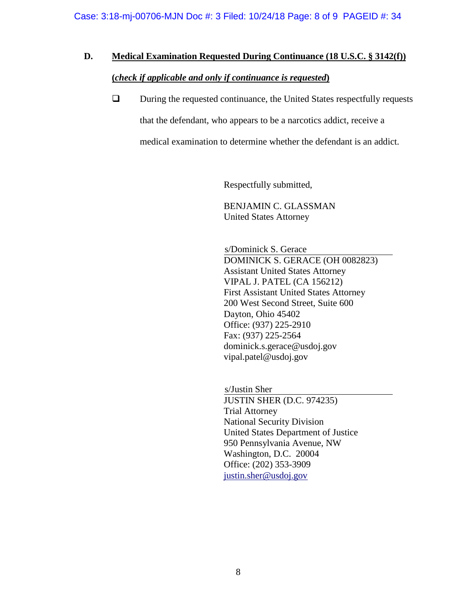## **D. Medical Examination Requested During Continuance (18 U.S.C. § 3142(f)) (***check if applicable and only if continuance is requested***)**

 $\Box$  During the requested continuance, the United States respectfully requests that the defendant, who appears to be a narcotics addict, receive a medical examination to determine whether the defendant is an addict.

Respectfully submitted,

BENJAMIN C. GLASSMAN United States Attorney

s/Dominick S. Gerace DOMINICK S. GERACE (OH 0082823) Assistant United States Attorney VIPAL J. PATEL (CA 156212) First Assistant United States Attorney 200 West Second Street, Suite 600 Dayton, Ohio 45402 Office: (937) 225-2910 Fax: (937) 225-2564 dominick.s.gerace@usdoj.gov vipal.patel@usdoj.gov

s/Justin Sher

JUSTIN SHER (D.C. 974235) Trial Attorney National Security Division United States Department of Justice 950 Pennsylvania Avenue, NW Washington, D.C. 20004 Office: (202) 353-3909 [justin.sher@usdoj.gov](mailto:justin.sher@usdoj.gov)